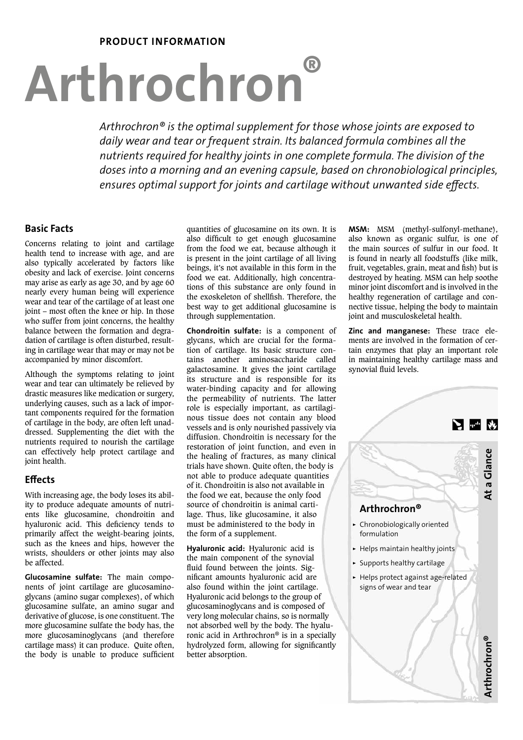# PRODUCT INFORMATION

# Arthrochron®

*Arthrochron® is the optimal supplement for those whose joints are exposed to daily wear and tear or frequent strain. Its balanced formula combines all the nutrients required for healthy joints in one complete formula. The division of the doses into a morning and an evening capsule, based on chronobiological principles, ensures optimal support for joints and cartilage without unwanted side effects.*

# Basic Facts

Concerns relating to joint and cartilage health tend to increase with age, and are also typically accelerated by factors like obesity and lack of exercise. Joint concerns may arise as early as age 30, and by age 60 nearly every human being will experience wear and tear of the cartilage of at least one joint – most often the knee or hip. In those who suffer from joint concerns, the healthy balance between the formation and degradation of cartilage is often disturbed, resulting in cartilage wear that may or may not be accompanied by minor discomfort.

Although the symptoms relating to joint wear and tear can ultimately be relieved by drastic measures like medication or surgery, underlying causes, such as a lack of important components required for the formation of cartilage in the body, are often left unaddressed. Supplementing the diet with the nutrients required to nourish the cartilage can effectively help protect cartilage and joint health.

## **Effects**

With increasing age, the body loses its ability to produce adequate amounts of nutrients like glucosamine, chondroitin and hyaluronic acid. This deficiency tends to primarily affect the weight-bearing joints, such as the knees and hips, however the wrists, shoulders or other joints may also be affected.

Glucosamine sulfate: The main components of joint cartilage are glucosaminoglycans (amino sugar complexes), of which glucosamine sulfate, an amino sugar and derivative of glucose, is one constituent. The more glucosamine sulfate the body has, the more glucosaminoglycans (and therefore cartilage mass) it can produce. Quite often, the body is unable to produce sufficient quantities of glucosamine on its own. It is also difficult to get enough glucosamine from the food we eat, because although it is present in the joint cartilage of all living beings, it's not available in this form in the food we eat. Additionally, high concentrations of this substance are only found in the exoskeleton of shellfish. Therefore, the best way to get additional glucosamine is through supplementation.

Chondroitin sulfate: is a component of glycans, which are crucial for the formation of cartilage. Its basic structure contains another aminosaccharide called galactosamine. It gives the joint cartilage its structure and is responsible for its water-binding capacity and for allowing the permeability of nutrients. The latter role is especially important, as cartilaginous tissue does not contain any blood vessels and is only nourished passively via diffusion. Chondroitin is necessary for the restoration of joint function, and even in the healing of fractures, as many clinical trials have shown. Quite often, the body is not able to produce adequate quantities of it. Chondroitin is also not available in the food we eat, because the only food source of chondroitin is animal cartilage. Thus, like glucosamine, it also must be administered to the body in the form of a supplement.

Hyaluronic acid: Hyaluronic acid is the main component of the synovial fluid found between the joints. Significant amounts hyaluronic acid are also found within the joint cartilage. Hyaluronic acid belongs to the group of glucosaminoglycans and is composed of very long molecular chains, so is normally not absorbed well by the body. The hyaluronic acid in Arthrochron® is in a specially hydrolyzed form, allowing for significantly better absorption.

MSM: MSM (methyl-sulfonyl-methane), also known as organic sulfur, is one of the main sources of sulfur in our food. It is found in nearly all foodstuffs (like milk, fruit, vegetables, grain, meat and fish) but is destroyed by heating. MSM can help soothe minor joint discomfort and is involved in the healthy regeneration of cartilage and connective tissue, helping the body to maintain joint and musculoskeletal health.

Zinc and manganese: These trace elements are involved in the formation of certain enzymes that play an important role in maintaining healthy cartilage mass and synovial fluid levels.